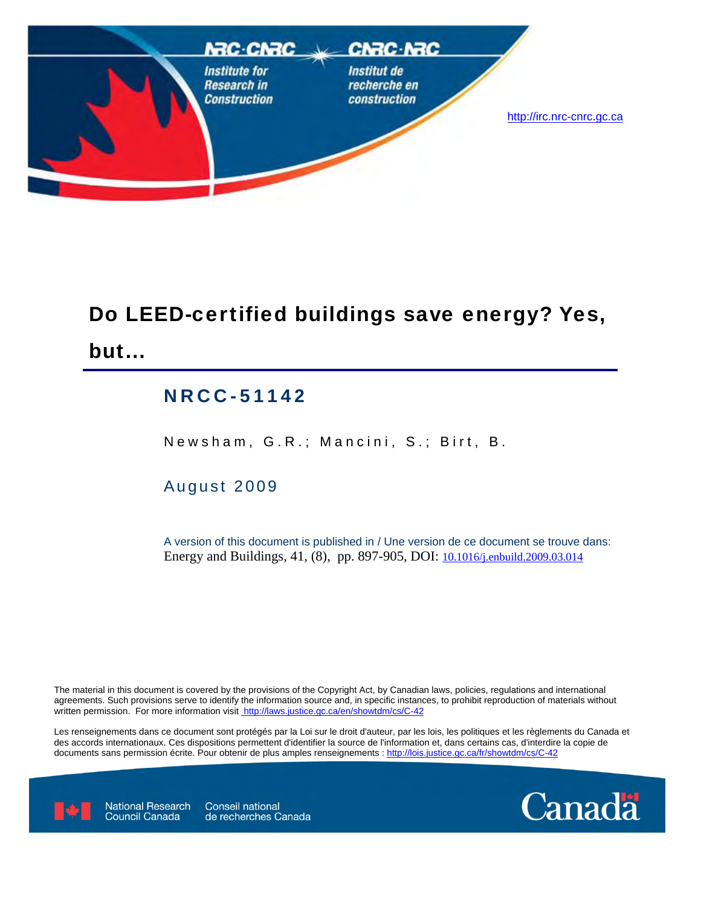

# Do LEED-certified buildings save energy? Yes,

but...

## **NRCC-51142**

Newsham, G.R.; Mancini, S.; Birt, B.

August 2009

A version of this document is published in / Une version de ce document se trouve dans: Energy and Buildings*,* 41, (8), pp. 897-905, DOI: 10.1016/j.enbuild.2009.03.014

The material in this document is covered by the provisions of the Copyright Act, by Canadian laws, policies, regulations and international agreements. Such provisions serve to identify the information source and, in specific instances, to prohibit reproduction of materials without written permission. For more information visit [http://laws.justice.gc.ca/en/showtdm/cs/C-42](http://laws.justice.gc.ca/en/C-42/index.html)

Les renseignements dans ce document sont protégés par la Loi sur le droit d'auteur, par les lois, les politiques et les règlements du Canada et des accords internationaux. Ces dispositions permettent d'identifier la source de l'information et, dans certains cas, d'interdire la copie de documents sans permission écrite. Pour obtenir de plus amples renseignements :<http://lois.justice.gc.ca/fr/showtdm/cs/C-42>



**National Research** Conseil national **Council Canada** de recherches Canada

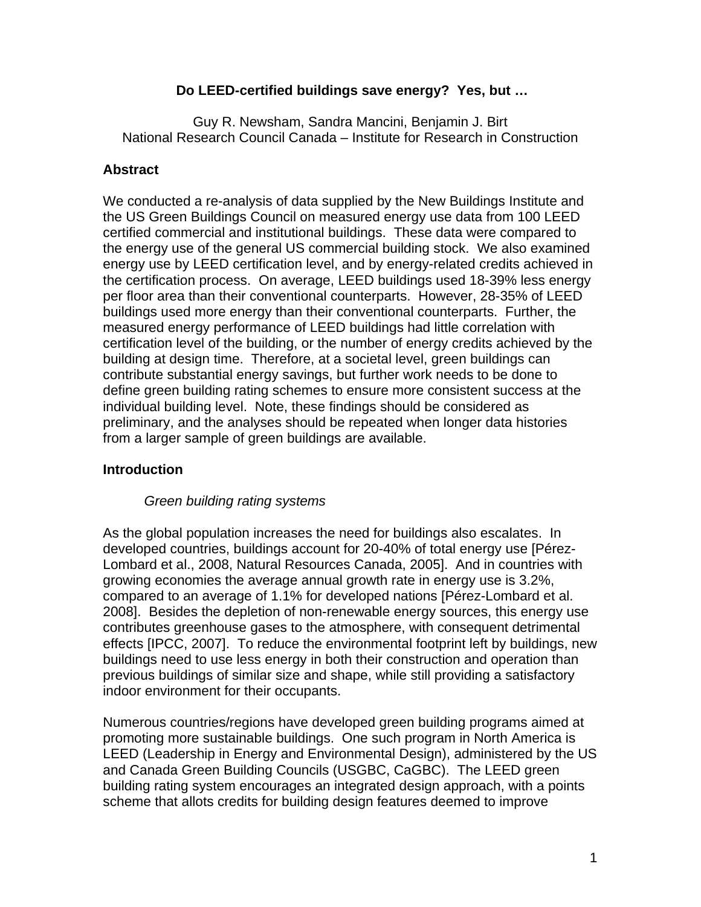#### **Do LEED-certified buildings save energy? Yes, but …**

Guy R. Newsham, Sandra Mancini, Benjamin J. Birt National Research Council Canada – Institute for Research in Construction

### **Abstract**

We conducted a re-analysis of data supplied by the New Buildings Institute and the US Green Buildings Council on measured energy use data from 100 LEED certified commercial and institutional buildings. These data were compared to the energy use of the general US commercial building stock. We also examined energy use by LEED certification level, and by energy-related credits achieved in the certification process. On average, LEED buildings used 18-39% less energy per floor area than their conventional counterparts. However, 28-35% of LEED buildings used more energy than their conventional counterparts. Further, the measured energy performance of LEED buildings had little correlation with certification level of the building, or the number of energy credits achieved by the building at design time. Therefore, at a societal level, green buildings can contribute substantial energy savings, but further work needs to be done to define green building rating schemes to ensure more consistent success at the individual building level. Note, these findings should be considered as preliminary, and the analyses should be repeated when longer data histories from a larger sample of green buildings are available.

## **Introduction**

#### *Green building rating systems*

As the global population increases the need for buildings also escalates. In developed countries, buildings account for 20-40% of total energy use [Pérez-Lombard et al., 2008, Natural Resources Canada, 2005]. And in countries with growing economies the average annual growth rate in energy use is 3.2%, compared to an average of 1.1% for developed nations [Pérez-Lombard et al. 2008]. Besides the depletion of non-renewable energy sources, this energy use contributes greenhouse gases to the atmosphere, with consequent detrimental effects [IPCC, 2007]. To reduce the environmental footprint left by buildings, new buildings need to use less energy in both their construction and operation than previous buildings of similar size and shape, while still providing a satisfactory indoor environment for their occupants.

Numerous countries/regions have developed green building programs aimed at promoting more sustainable buildings. One such program in North America is LEED (Leadership in Energy and Environmental Design), administered by the US and Canada Green Building Councils (USGBC, CaGBC). The LEED green building rating system encourages an integrated design approach, with a points scheme that allots credits for building design features deemed to improve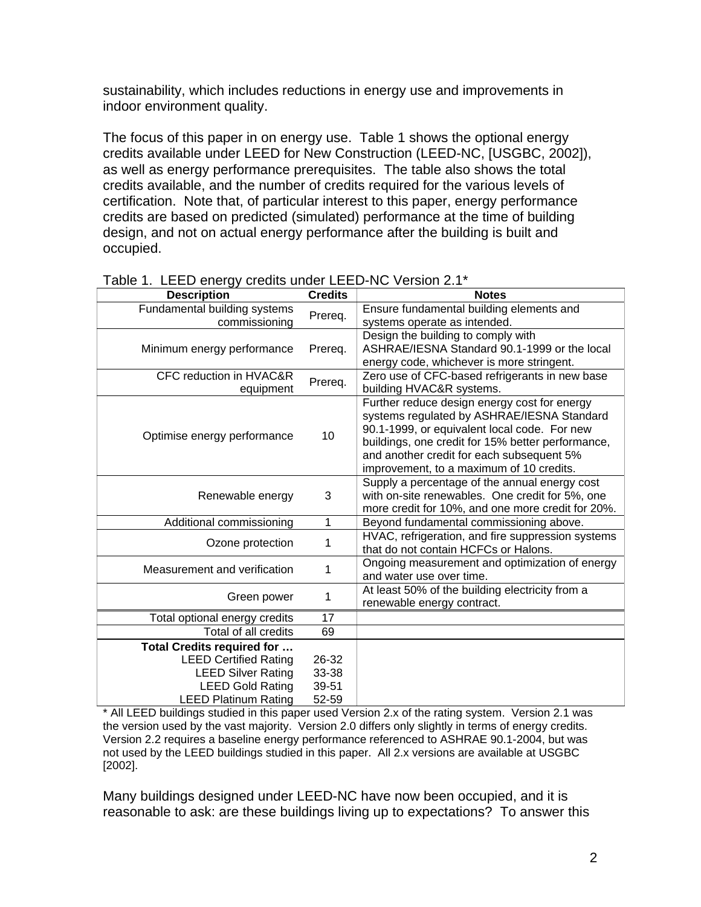sustainability, which includes reductions in energy use and improvements in indoor environment quality.

The focus of this paper in on energy use. Table 1 shows the optional energy credits available under LEED for New Construction (LEED-NC, [USGBC, 2002]), as well as energy performance prerequisites. The table also shows the total credits available, and the number of credits required for the various levels of certification. Note that, of particular interest to this paper, energy performance credits are based on predicted (simulated) performance at the time of building design, and not on actual energy performance after the building is built and occupied.

| <b>Description</b>            | <b>Credits</b> | <b>Notes</b>                                      |
|-------------------------------|----------------|---------------------------------------------------|
| Fundamental building systems  |                | Ensure fundamental building elements and          |
| commissioning                 | Prereq.        | systems operate as intended.                      |
|                               |                | Design the building to comply with                |
| Minimum energy performance    | Prereq.        | ASHRAE/IESNA Standard 90.1-1999 or the local      |
|                               |                | energy code, whichever is more stringent.         |
| CFC reduction in HVAC&R       |                | Zero use of CFC-based refrigerants in new base    |
| equipment                     | Prereq.        | building HVAC&R systems.                          |
|                               |                | Further reduce design energy cost for energy      |
|                               |                | systems regulated by ASHRAE/IESNA Standard        |
|                               | 10             | 90.1-1999, or equivalent local code. For new      |
| Optimise energy performance   |                | buildings, one credit for 15% better performance, |
|                               |                | and another credit for each subsequent 5%         |
|                               |                | improvement, to a maximum of 10 credits.          |
|                               |                | Supply a percentage of the annual energy cost     |
| Renewable energy              | 3              | with on-site renewables. One credit for 5%, one   |
|                               |                | more credit for 10%, and one more credit for 20%. |
| Additional commissioning      | 1              | Beyond fundamental commissioning above.           |
| Ozone protection              | 1              | HVAC, refrigeration, and fire suppression systems |
|                               |                | that do not contain HCFCs or Halons.              |
| Measurement and verification  | 1              | Ongoing measurement and optimization of energy    |
|                               |                | and water use over time.                          |
| Green power                   | 1              | At least 50% of the building electricity from a   |
|                               |                | renewable energy contract.                        |
| Total optional energy credits | 17             |                                                   |
| Total of all credits          | 69             |                                                   |
| Total Credits required for    |                |                                                   |
| <b>LEED Certified Rating</b>  | 26-32          |                                                   |
| <b>LEED Silver Rating</b>     | 33-38          |                                                   |
| <b>LEED Gold Rating</b>       | 39-51          |                                                   |
| <b>LEED Platinum Rating</b>   | 52-59          |                                                   |

Table 1. LEED energy credits under LEED-NC Version 2.1\*

\* All LEED buildings studied in this paper used Version 2.x of the rating system. Version 2.1 was the version used by the vast majority. Version 2.0 differs only slightly in terms of energy credits. Version 2.2 requires a baseline energy performance referenced to ASHRAE 90.1-2004, but was not used by the LEED buildings studied in this paper. All 2.x versions are available at USGBC [2002].

Many buildings designed under LEED-NC have now been occupied, and it is reasonable to ask: are these buildings living up to expectations? To answer this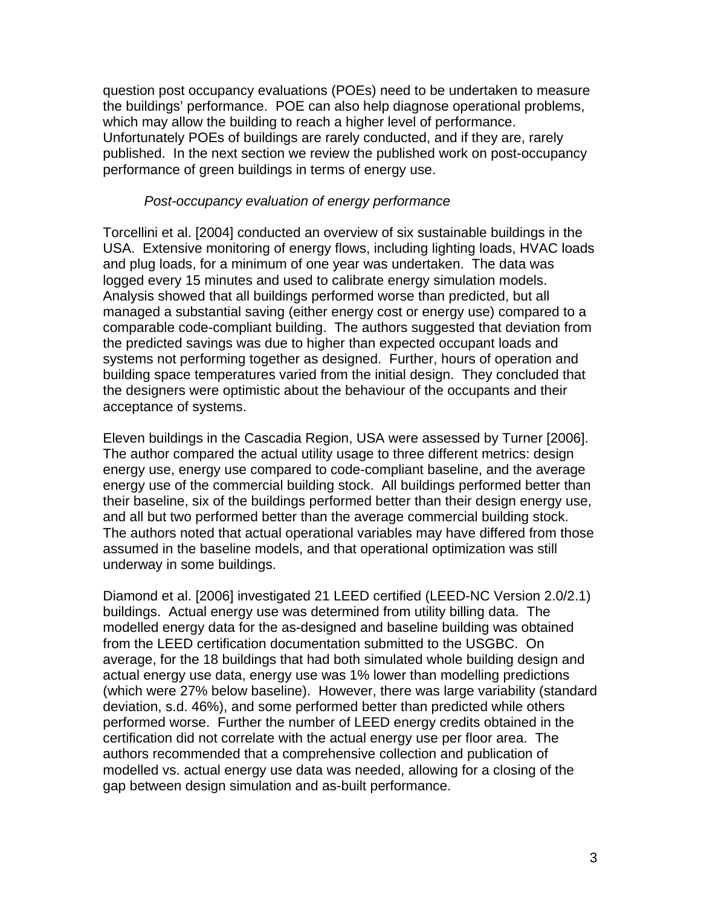question post occupancy evaluations (POEs) need to be undertaken to measure the buildings' performance. POE can also help diagnose operational problems, which may allow the building to reach a higher level of performance. Unfortunately POEs of buildings are rarely conducted, and if they are, rarely published. In the next section we review the published work on post-occupancy performance of green buildings in terms of energy use.

#### *Post-occupancy evaluation of energy performance*

Torcellini et al. [2004] conducted an overview of six sustainable buildings in the USA. Extensive monitoring of energy flows, including lighting loads, HVAC loads and plug loads, for a minimum of one year was undertaken. The data was logged every 15 minutes and used to calibrate energy simulation models. Analysis showed that all buildings performed worse than predicted, but all managed a substantial saving (either energy cost or energy use) compared to a comparable code-compliant building. The authors suggested that deviation from the predicted savings was due to higher than expected occupant loads and systems not performing together as designed. Further, hours of operation and building space temperatures varied from the initial design. They concluded that the designers were optimistic about the behaviour of the occupants and their acceptance of systems.

Eleven buildings in the Cascadia Region, USA were assessed by Turner [2006]. The author compared the actual utility usage to three different metrics: design energy use, energy use compared to code-compliant baseline, and the average energy use of the commercial building stock. All buildings performed better than their baseline, six of the buildings performed better than their design energy use, and all but two performed better than the average commercial building stock. The authors noted that actual operational variables may have differed from those assumed in the baseline models, and that operational optimization was still underway in some buildings.

Diamond et al. [2006] investigated 21 LEED certified (LEED-NC Version 2.0/2.1) buildings. Actual energy use was determined from utility billing data. The modelled energy data for the as-designed and baseline building was obtained from the LEED certification documentation submitted to the USGBC. On average, for the 18 buildings that had both simulated whole building design and actual energy use data, energy use was 1% lower than modelling predictions (which were 27% below baseline). However, there was large variability (standard deviation, s.d. 46%), and some performed better than predicted while others performed worse. Further the number of LEED energy credits obtained in the certification did not correlate with the actual energy use per floor area. The authors recommended that a comprehensive collection and publication of modelled vs. actual energy use data was needed, allowing for a closing of the gap between design simulation and as-built performance.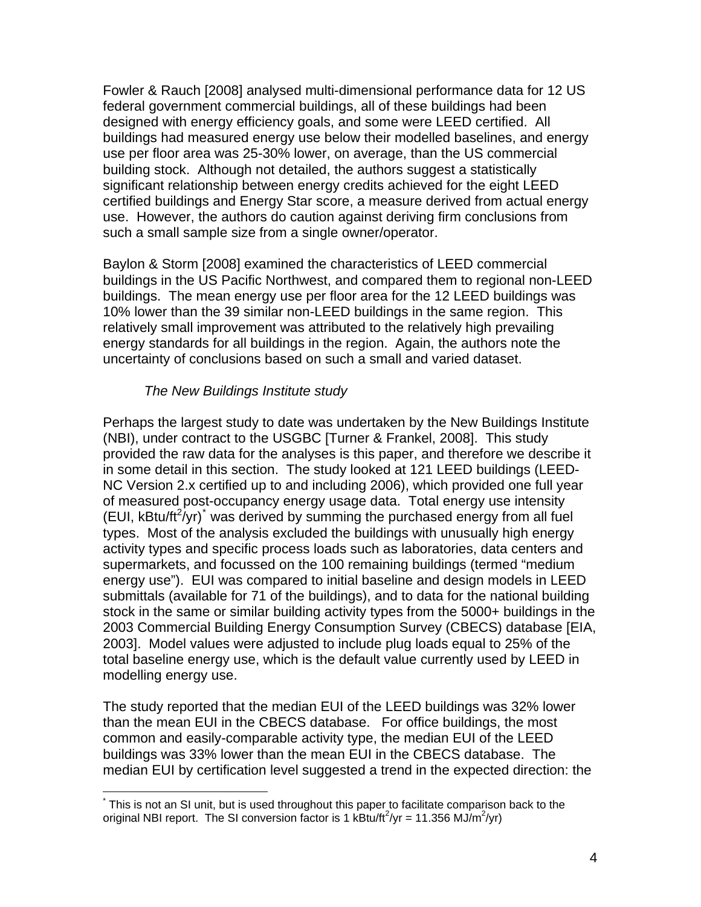Fowler & Rauch [2008] analysed multi-dimensional performance data for 12 US federal government commercial buildings, all of these buildings had been designed with energy efficiency goals, and some were LEED certified. All buildings had measured energy use below their modelled baselines, and energy use per floor area was 25-30% lower, on average, than the US commercial building stock. Although not detailed, the authors suggest a statistically significant relationship between energy credits achieved for the eight LEED certified buildings and Energy Star score, a measure derived from actual energy use. However, the authors do caution against deriving firm conclusions from such a small sample size from a single owner/operator.

Baylon & Storm [2008] examined the characteristics of LEED commercial buildings in the US Pacific Northwest, and compared them to regional non-LEED buildings. The mean energy use per floor area for the 12 LEED buildings was 10% lower than the 39 similar non-LEED buildings in the same region. This relatively small improvement was attributed to the relatively high prevailing energy standards for all buildings in the region. Again, the authors note the uncertainty of conclusions based on such a small and varied dataset.

## *The New Buildings Institute study*

Perhaps the largest study to date was undertaken by the New Buildings Institute (NBI), under contract to the USGBC [Turner & Frankel, 2008]. This study provided the raw data for the analyses is this paper, and therefore we describe it in some detail in this section. The study looked at 121 LEED buildings (LEED-NC Version 2.x certified up to and including 2006), which provided one full year of measured post-occupancy energy usage data. Total energy use intensity  $(EUI, kBtu/ft<sup>2</sup>/yr)$  was derived by summing the purchased energy from all fuel types. Most of the analysis excluded the buildings with unusually high energy activity types and specific process loads such as laboratories, data centers and supermarkets, and focussed on the 100 remaining buildings (termed "medium energy use"). EUI was compared to initial baseline and design models in LEED submittals (available for 71 of the buildings), and to data for the national building stock in the same or similar building activity types from the 5000+ buildings in the 2003 Commercial Building Energy Consumption Survey (CBECS) database [EIA, 2003]. Model values were adjusted to include plug loads equal to 25% of the total baseline energy use, which is the default value currently used by LEED in modelling energy use.

The study reported that the median EUI of the LEED buildings was 32% lower than the mean EUI in the CBECS database. For office buildings, the most common and easily-comparable activity type, the median EUI of the LEED buildings was 33% lower than the mean EUI in the CBECS database. The median EUI by certification level suggested a trend in the expected direction: the

<span id="page-4-0"></span> $\overline{a}$ \* This is not an SI unit, but is used throughout this paper to facilitate comparison back to the original NBI report. The SI conversion factor is 1 kBtu/ft<sup>2</sup>/yr = 11.356 MJ/m<sup>2</sup>/yr)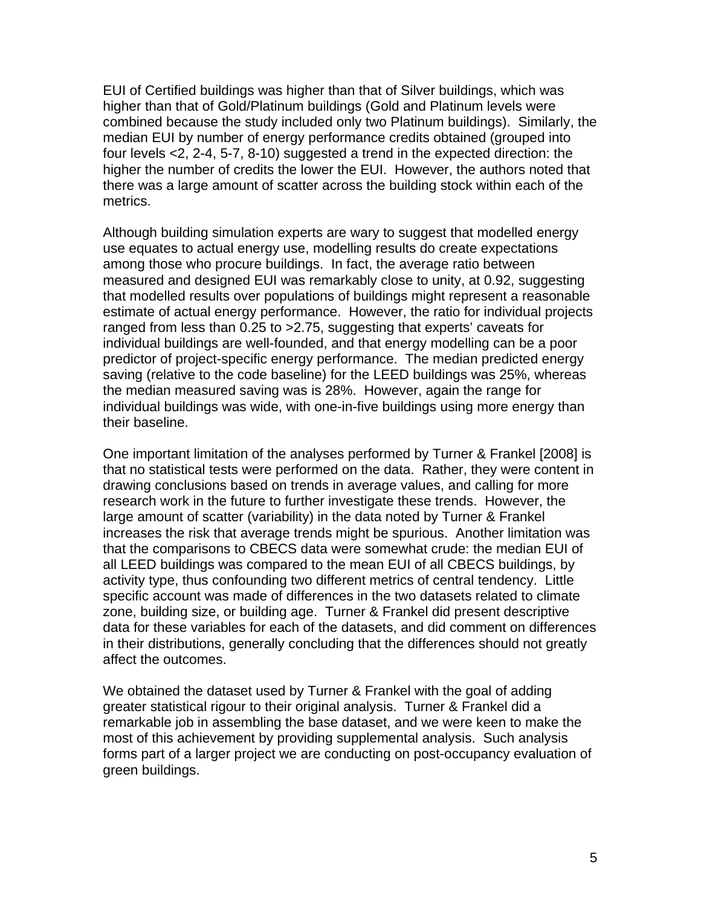EUI of Certified buildings was higher than that of Silver buildings, which was higher than that of Gold/Platinum buildings (Gold and Platinum levels were combined because the study included only two Platinum buildings). Similarly, the median EUI by number of energy performance credits obtained (grouped into four levels <2, 2-4, 5-7, 8-10) suggested a trend in the expected direction: the higher the number of credits the lower the EUI. However, the authors noted that there was a large amount of scatter across the building stock within each of the metrics.

Although building simulation experts are wary to suggest that modelled energy use equates to actual energy use, modelling results do create expectations among those who procure buildings. In fact, the average ratio between measured and designed EUI was remarkably close to unity, at 0.92, suggesting that modelled results over populations of buildings might represent a reasonable estimate of actual energy performance. However, the ratio for individual projects ranged from less than 0.25 to >2.75, suggesting that experts' caveats for individual buildings are well-founded, and that energy modelling can be a poor predictor of project-specific energy performance. The median predicted energy saving (relative to the code baseline) for the LEED buildings was 25%, whereas the median measured saving was is 28%. However, again the range for individual buildings was wide, with one-in-five buildings using more energy than their baseline.

One important limitation of the analyses performed by Turner & Frankel [2008] is that no statistical tests were performed on the data. Rather, they were content in drawing conclusions based on trends in average values, and calling for more research work in the future to further investigate these trends. However, the large amount of scatter (variability) in the data noted by Turner & Frankel increases the risk that average trends might be spurious. Another limitation was that the comparisons to CBECS data were somewhat crude: the median EUI of all LEED buildings was compared to the mean EUI of all CBECS buildings, by activity type, thus confounding two different metrics of central tendency. Little specific account was made of differences in the two datasets related to climate zone, building size, or building age. Turner & Frankel did present descriptive data for these variables for each of the datasets, and did comment on differences in their distributions, generally concluding that the differences should not greatly affect the outcomes.

We obtained the dataset used by Turner & Frankel with the goal of adding greater statistical rigour to their original analysis. Turner & Frankel did a remarkable job in assembling the base dataset, and we were keen to make the most of this achievement by providing supplemental analysis. Such analysis forms part of a larger project we are conducting on post-occupancy evaluation of green buildings.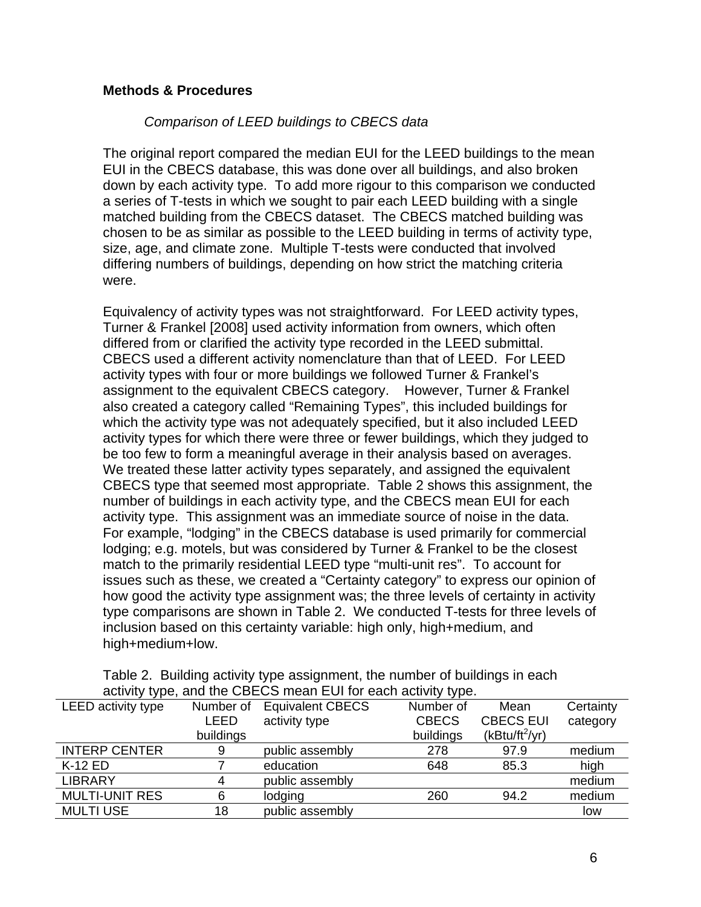#### **Methods & Procedures**

#### *Comparison of LEED buildings to CBECS data*

The original report compared the median EUI for the LEED buildings to the mean EUI in the CBECS database, this was done over all buildings, and also broken down by each activity type. To add more rigour to this comparison we conducted a series of T-tests in which we sought to pair each LEED building with a single matched building from the CBECS dataset. The CBECS matched building was chosen to be as similar as possible to the LEED building in terms of activity type, size, age, and climate zone. Multiple T-tests were conducted that involved differing numbers of buildings, depending on how strict the matching criteria were.

Equivalency of activity types was not straightforward. For LEED activity types, Turner & Frankel [2008] used activity information from owners, which often differed from or clarified the activity type recorded in the LEED submittal. CBECS used a different activity nomenclature than that of LEED. For LEED activity types with four or more buildings we followed Turner & Frankel's assignment to the equivalent CBECS category. However, Turner & Frankel also created a category called "Remaining Types", this included buildings for which the activity type was not adequately specified, but it also included LEED activity types for which there were three or fewer buildings, which they judged to be too few to form a meaningful average in their analysis based on averages. We treated these latter activity types separately, and assigned the equivalent CBECS type that seemed most appropriate. Table 2 shows this assignment, the number of buildings in each activity type, and the CBECS mean EUI for each activity type. This assignment was an immediate source of noise in the data. For example, "lodging" in the CBECS database is used primarily for commercial lodging; e.g. motels, but was considered by Turner & Frankel to be the closest match to the primarily residential LEED type "multi-unit res". To account for issues such as these, we created a "Certainty category" to express our opinion of how good the activity type assignment was; the three levels of certainty in activity type comparisons are shown in Table 2. We conducted T-tests for three levels of inclusion based on this certainty variable: high only, high+medium, and high+medium+low.

| activity type, and the CDECS mean EDI for each activity type. |           |                         |              |                  |           |  |  |
|---------------------------------------------------------------|-----------|-------------------------|--------------|------------------|-----------|--|--|
| LEED activity type                                            | Number of | <b>Equivalent CBECS</b> | Number of    | Mean             | Certainty |  |  |
|                                                               | LEED      | activity type           | <b>CBECS</b> | <b>CBECS EUI</b> | category  |  |  |
|                                                               | buildings |                         | buildings    | $(kBtu/ft^2/yr)$ |           |  |  |
| <b>INTERP CENTER</b>                                          | 9         | public assembly         | 278          | 97.9             | medium    |  |  |
| <b>K-12 ED</b>                                                |           | education               | 648          | 85.3             | high      |  |  |
| <b>LIBRARY</b>                                                |           | public assembly         |              |                  | medium    |  |  |
| <b>MULTI-UNIT RES</b>                                         | 6         | lodging                 | 260          | 94.2             | medium    |  |  |
| <b>MULTI USE</b>                                              | 18        | public assembly         |              |                  | low       |  |  |
|                                                               |           |                         |              |                  |           |  |  |

Table 2. Building activity type assignment, the number of buildings in each activity type, and the CBECS mean EUI for each activity type.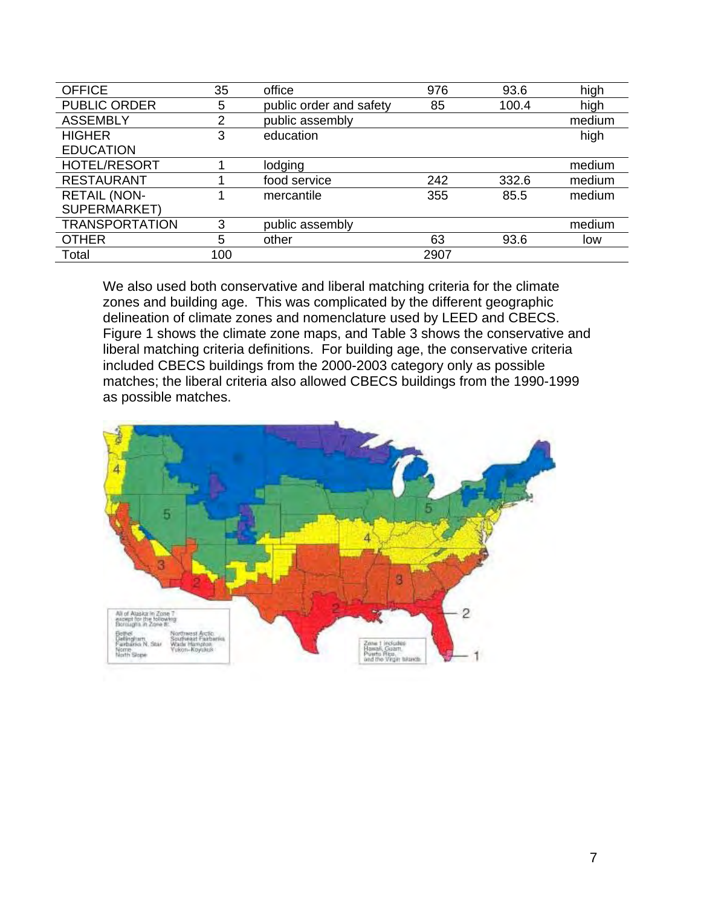| <b>OFFICE</b>         | 35  | office                  | 976  | 93.6  | high   |
|-----------------------|-----|-------------------------|------|-------|--------|
| <b>PUBLIC ORDER</b>   | 5   | public order and safety | 85   | 100.4 | high   |
| <b>ASSEMBLY</b>       | 2   | public assembly         |      |       | medium |
| <b>HIGHER</b>         | 3   | education               |      |       | high   |
| <b>EDUCATION</b>      |     |                         |      |       |        |
| <b>HOTEL/RESORT</b>   |     | lodging                 |      |       | medium |
| <b>RESTAURANT</b>     |     | food service            | 242  | 332.6 | medium |
| <b>RETAIL (NON-</b>   |     | mercantile              | 355  | 85.5  | medium |
| <b>SUPERMARKET)</b>   |     |                         |      |       |        |
| <b>TRANSPORTATION</b> | 3   | public assembly         |      |       | medium |
| <b>OTHER</b>          | 5   | other                   | 63   | 93.6  | low    |
| Total                 | 100 |                         | 2907 |       |        |

We also used both conservative and liberal matching criteria for the climate zones and building age. This was complicated by the different geographic delineation of climate zones and nomenclature used by LEED and CBECS. Figure 1 shows the climate zone maps, and Table 3 shows the conservative and liberal matching criteria definitions. For building age, the conservative criteria included CBECS buildings from the 2000-2003 category only as possible matches; the liberal criteria also allowed CBECS buildings from the 1990-1999 as possible matches.

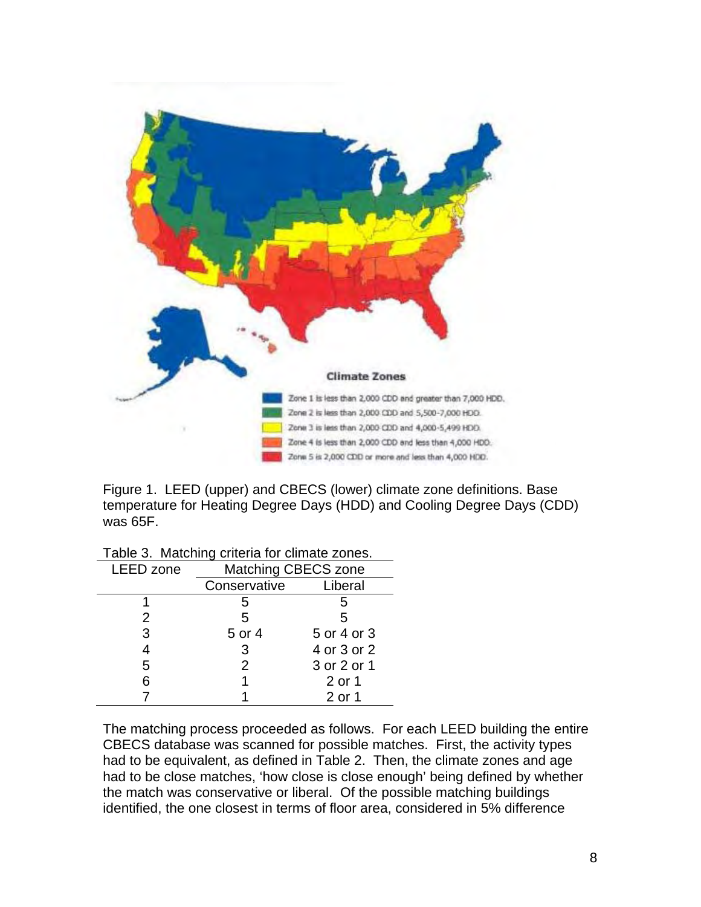

Figure 1. LEED (upper) and CBECS (lower) climate zone definitions. Base temperature for Heating Degree Days (HDD) and Cooling Degree Days (CDD) was 65F.

| <b>LEED</b> zone | Matching CBECS zone |             |  |  |  |  |
|------------------|---------------------|-------------|--|--|--|--|
|                  | Conservative        | Liberal     |  |  |  |  |
|                  | 5                   | 5           |  |  |  |  |
|                  | 5                   | 5           |  |  |  |  |
| 3                | 5 or 4              | 5 or 4 or 3 |  |  |  |  |
|                  | 3                   | 4 or 3 or 2 |  |  |  |  |
| 5                | 2                   | 3 or 2 or 1 |  |  |  |  |
|                  |                     | 2 or 1      |  |  |  |  |
|                  |                     | 2 or 1      |  |  |  |  |

|  | Table 3. Matching criteria for climate zones. |  |  |  |  |
|--|-----------------------------------------------|--|--|--|--|
|--|-----------------------------------------------|--|--|--|--|

The matching process proceeded as follows. For each LEED building the entire CBECS database was scanned for possible matches. First, the activity types had to be equivalent, as defined in Table 2. Then, the climate zones and age had to be close matches, 'how close is close enough' being defined by whether the match was conservative or liberal. Of the possible matching buildings identified, the one closest in terms of floor area, considered in 5% difference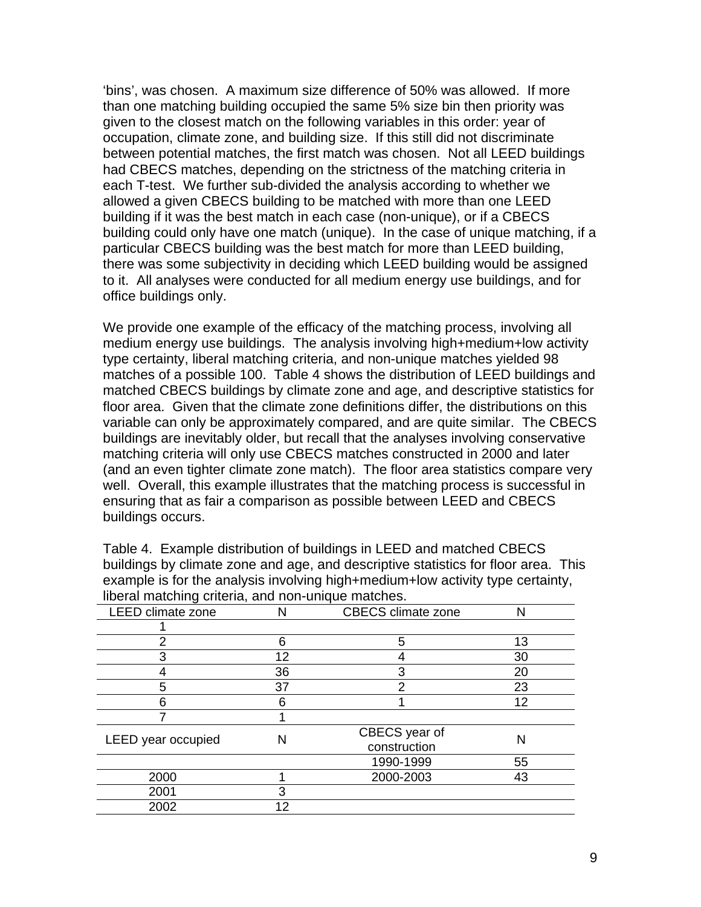'bins', was chosen. A maximum size difference of 50% was allowed. If more than one matching building occupied the same 5% size bin then priority was given to the closest match on the following variables in this order: year of occupation, climate zone, and building size. If this still did not discriminate between potential matches, the first match was chosen. Not all LEED buildings had CBECS matches, depending on the strictness of the matching criteria in each T-test. We further sub-divided the analysis according to whether we allowed a given CBECS building to be matched with more than one LEED building if it was the best match in each case (non-unique), or if a CBECS building could only have one match (unique). In the case of unique matching, if a particular CBECS building was the best match for more than LEED building, there was some subjectivity in deciding which LEED building would be assigned to it. All analyses were conducted for all medium energy use buildings, and for office buildings only.

We provide one example of the efficacy of the matching process, involving all medium energy use buildings. The analysis involving high+medium+low activity type certainty, liberal matching criteria, and non-unique matches yielded 98 matches of a possible 100. Table 4 shows the distribution of LEED buildings and matched CBECS buildings by climate zone and age, and descriptive statistics for floor area. Given that the climate zone definitions differ, the distributions on this variable can only be approximately compared, and are quite similar. The CBECS buildings are inevitably older, but recall that the analyses involving conservative matching criteria will only use CBECS matches constructed in 2000 and later (and an even tighter climate zone match). The floor area statistics compare very well. Overall, this example illustrates that the matching process is successful in ensuring that as fair a comparison as possible between LEED and CBECS buildings occurs.

| liberal matching criteria, and non-unique matches. |    |                           |    |  |  |  |
|----------------------------------------------------|----|---------------------------|----|--|--|--|
| <b>LEED climate zone</b>                           | N  | <b>CBECS</b> climate zone | N  |  |  |  |
|                                                    |    |                           |    |  |  |  |
| っ                                                  | 6  | 5                         | 13 |  |  |  |
| З                                                  | 12 |                           | 30 |  |  |  |
|                                                    | 36 |                           | 20 |  |  |  |
| 5                                                  | 37 |                           | 23 |  |  |  |
| 6                                                  | 6  |                           | 12 |  |  |  |
|                                                    |    |                           |    |  |  |  |
|                                                    | N  | CBECS year of             |    |  |  |  |
| LEED year occupied                                 |    | construction              | N  |  |  |  |
|                                                    |    | 1990-1999                 | 55 |  |  |  |
| 2000                                               |    | 2000-2003                 | 43 |  |  |  |
| 2001                                               |    |                           |    |  |  |  |
| 2002                                               | 12 |                           |    |  |  |  |

Table 4. Example distribution of buildings in LEED and matched CBECS buildings by climate zone and age, and descriptive statistics for floor area. This example is for the analysis involving high+medium+low activity type certainty, liberal matching criteria, and non-unique matches.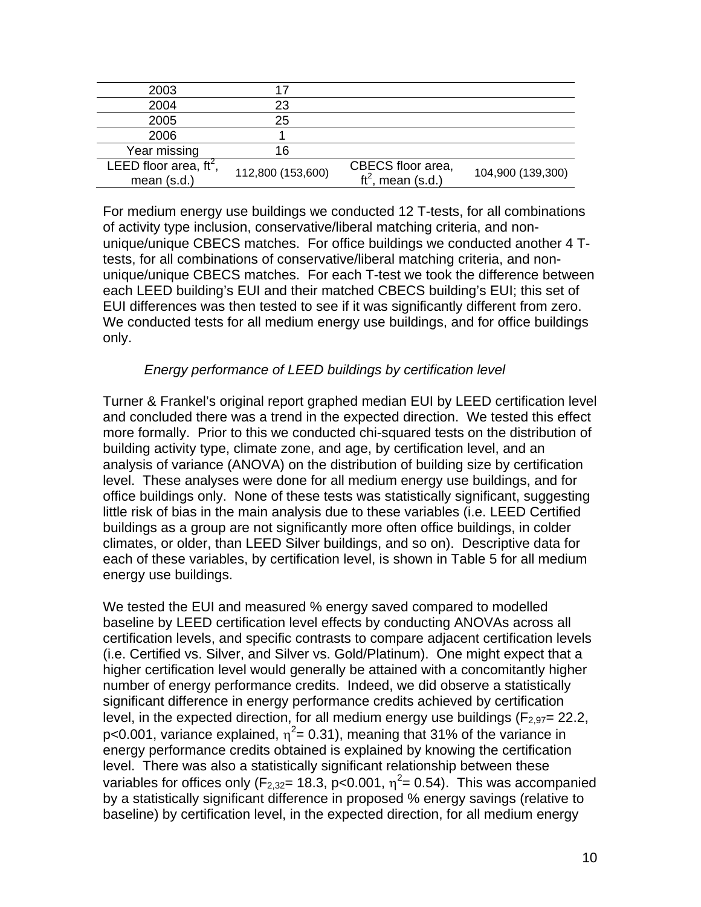| 2003                             |                   |                      |                   |
|----------------------------------|-------------------|----------------------|-------------------|
| 2004                             | 23                |                      |                   |
| 2005                             | 25                |                      |                   |
| 2006                             |                   |                      |                   |
| Year missing                     | 16                |                      |                   |
| LEED floor area, $\text{ft}^2$ , |                   | CBECS floor area,    |                   |
|                                  | 112,800 (153,600) |                      | 104,900 (139,300) |
| mean (s.d.)                      |                   | $ft^2$ , mean (s.d.) |                   |

For medium energy use buildings we conducted 12 T-tests, for all combinations of activity type inclusion, conservative/liberal matching criteria, and nonunique/unique CBECS matches. For office buildings we conducted another 4 Ttests, for all combinations of conservative/liberal matching criteria, and nonunique/unique CBECS matches. For each T-test we took the difference between each LEED building's EUI and their matched CBECS building's EUI; this set of EUI differences was then tested to see if it was significantly different from zero. We conducted tests for all medium energy use buildings, and for office buildings only.

#### *Energy performance of LEED buildings by certification level*

Turner & Frankel's original report graphed median EUI by LEED certification level and concluded there was a trend in the expected direction. We tested this effect more formally. Prior to this we conducted chi-squared tests on the distribution of building activity type, climate zone, and age, by certification level, and an analysis of variance (ANOVA) on the distribution of building size by certification level. These analyses were done for all medium energy use buildings, and for office buildings only. None of these tests was statistically significant, suggesting little risk of bias in the main analysis due to these variables (i.e. LEED Certified buildings as a group are not significantly more often office buildings, in colder climates, or older, than LEED Silver buildings, and so on). Descriptive data for each of these variables, by certification level, is shown in Table 5 for all medium energy use buildings.

We tested the EUI and measured % energy saved compared to modelled baseline by LEED certification level effects by conducting ANOVAs across all certification levels, and specific contrasts to compare adjacent certification levels (i.e. Certified vs. Silver, and Silver vs. Gold/Platinum). One might expect that a higher certification level would generally be attained with a concomitantly higher number of energy performance credits. Indeed, we did observe a statistically significant difference in energy performance credits achieved by certification level, in the expected direction, for all medium energy use buildings ( $F_{2,97}$ = 22.2, p<0.001, variance explained,  $\eta^2$ = 0.31), meaning that 31% of the variance in energy performance credits obtained is explained by knowing the certification level. There was also a statistically significant relationship between these variables for offices only (F<sub>2,32</sub>= 18.3, p<0.001,  $\eta^2$ = 0.54). This was accompanied by a statistically significant difference in proposed % energy savings (relative to baseline) by certification level, in the expected direction, for all medium energy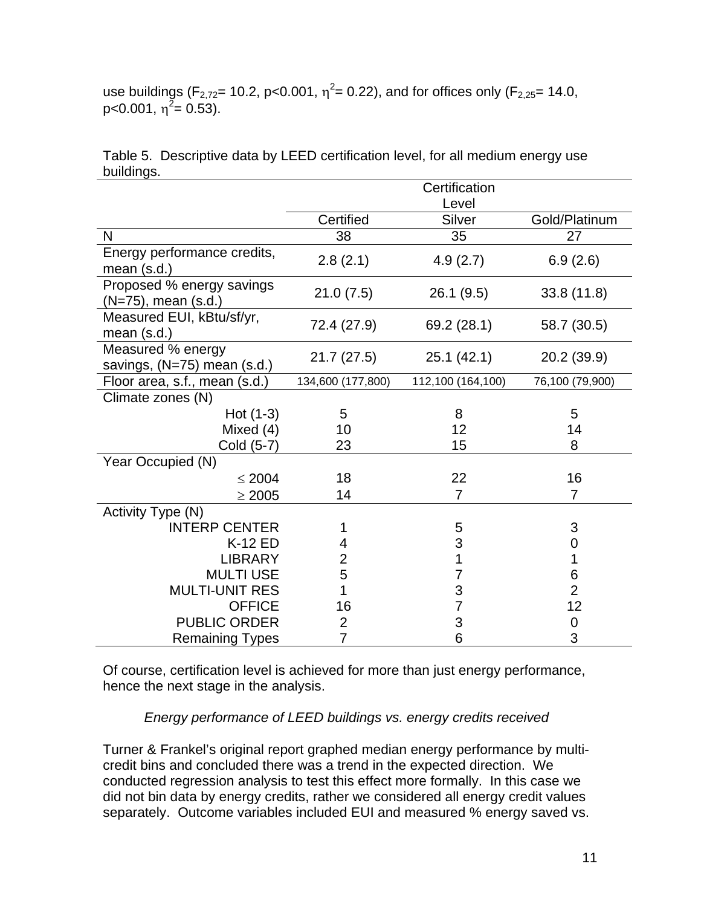use buildings (F<sub>2,72</sub>= 10.2, p<0.001,  $\eta^2$ = 0.22), and for offices only (F<sub>2,25</sub>= 14.0, p<0.001,  $\eta^2$ = 0.53).

|            | Table 5. Descriptive data by LEED certification level, for all medium energy use |  |  |  |
|------------|----------------------------------------------------------------------------------|--|--|--|
| buildings. |                                                                                  |  |  |  |

|                                                  |                   | Certification     |                 |
|--------------------------------------------------|-------------------|-------------------|-----------------|
|                                                  |                   | Level             |                 |
|                                                  | Certified         | Silver            | Gold/Platinum   |
| N                                                | 38                | 35                | 27              |
| Energy performance credits,<br>mean $(s.d.)$     | 2.8(2.1)          | 4.9(2.7)          | 6.9(2.6)        |
| Proposed % energy savings<br>(N=75), mean (s.d.) | 21.0(7.5)         | 26.1(9.5)         | 33.8(11.8)      |
| Measured EUI, kBtu/sf/yr,<br>mean (s.d.)         | 72.4 (27.9)       | 69.2 (28.1)       | 58.7 (30.5)     |
| Measured % energy<br>savings, (N=75) mean (s.d.) | 21.7(27.5)        | 25.1(42.1)        | 20.2 (39.9)     |
| Floor area, s.f., mean (s.d.)                    | 134,600 (177,800) | 112,100 (164,100) | 76,100 (79,900) |
| Climate zones (N)                                |                   |                   |                 |
| Hot $(1-3)$                                      | 5                 | 8                 | 5               |
| Mixed (4)                                        | 10                | 12                | 14              |
| Cold (5-7)                                       | 23                | 15                | 8               |
| Year Occupied (N)                                |                   |                   |                 |
| $\leq 2004$                                      | 18                | 22                | 16              |
| $\geq 2005$                                      | 14                | 7                 | $\overline{7}$  |
| Activity Type (N)                                |                   |                   |                 |
| <b>INTERP CENTER</b>                             | 1                 | 5                 | 3               |
| <b>K-12 ED</b>                                   | 4                 | 3                 | $\mathbf 0$     |
| <b>LIBRARY</b>                                   | $\overline{2}$    | $\overline{1}$    | 1               |
| <b>MULTI USE</b>                                 | 5                 | $\overline{7}$    | 6               |
| <b>MULTI-UNIT RES</b>                            | 1                 | 3                 | $\overline{2}$  |
| <b>OFFICE</b>                                    | 16                | $\overline{7}$    | 12              |
| <b>PUBLIC ORDER</b>                              | $\overline{2}$    | 3                 | $\mathbf 0$     |
| <b>Remaining Types</b>                           | $\overline{7}$    | 6                 | 3               |

Of course, certification level is achieved for more than just energy performance, hence the next stage in the analysis.

*Energy performance of LEED buildings vs. energy credits received* 

Turner & Frankel's original report graphed median energy performance by multicredit bins and concluded there was a trend in the expected direction. We conducted regression analysis to test this effect more formally. In this case we did not bin data by energy credits, rather we considered all energy credit values separately. Outcome variables included EUI and measured % energy saved vs.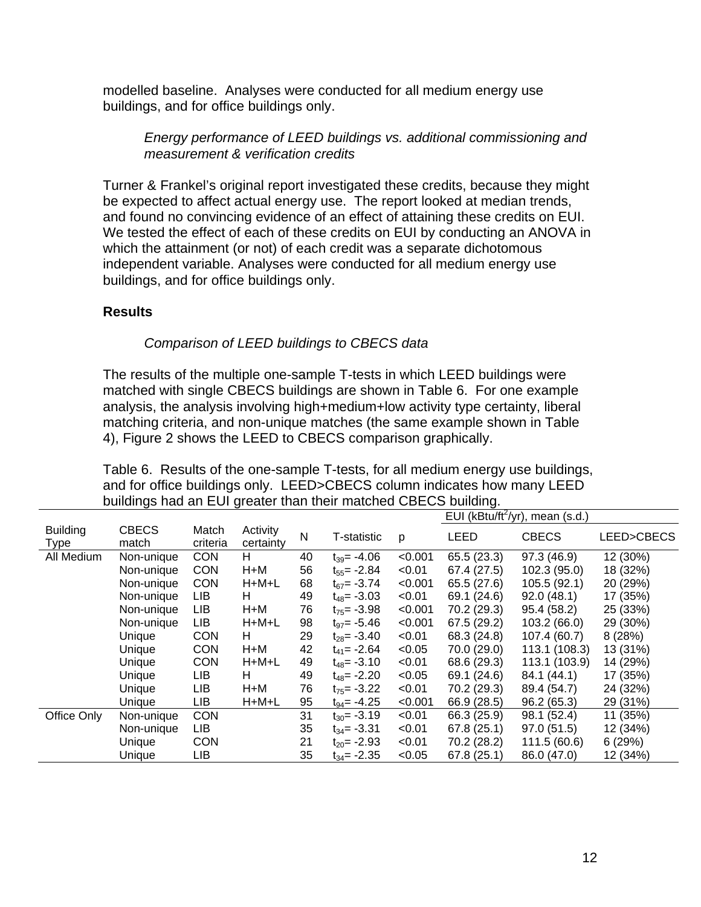modelled baseline. Analyses were conducted for all medium energy use buildings, and for office buildings only.

*Energy performance of LEED buildings vs. additional commissioning and measurement & verification credits* 

Turner & Frankel's original report investigated these credits, because they might be expected to affect actual energy use. The report looked at median trends, and found no convincing evidence of an effect of attaining these credits on EUI. We tested the effect of each of these credits on EUI by conducting an ANOVA in which the attainment (or not) of each credit was a separate dichotomous independent variable. Analyses were conducted for all medium energy use buildings, and for office buildings only.

## **Results**

#### *Comparison of LEED buildings to CBECS data*

The results of the multiple one-sample T-tests in which LEED buildings were matched with single CBECS buildings are shown in Table 6. For one example analysis, the analysis involving high+medium+low activity type certainty, liberal matching criteria, and non-unique matches (the same example shown in Table 4), Figure 2 shows the LEED to CBECS comparison graphically.

Table 6. Results of the one-sample T-tests, for all medium energy use buildings, and for office buildings only. LEED>CBECS column indicates how many LEED buildings had an EUI greater than their matched CBECS building.

|                                |                       |                   |                       | EUI (kBtu/ft <sup>2</sup> /yr), mean (s.d.) |                  |         |             |               |            |
|--------------------------------|-----------------------|-------------------|-----------------------|---------------------------------------------|------------------|---------|-------------|---------------|------------|
| <b>Building</b><br><b>Type</b> | <b>CBECS</b><br>match | Match<br>criteria | Activity<br>certainty | N                                           | T-statistic      | p       | <b>LEED</b> | <b>CBECS</b>  | LEED>CBECS |
| All Medium                     | Non-unique            | <b>CON</b>        | H                     | 40                                          | $t_{39} = -4.06$ | < 0.001 | 65.5 (23.3) | 97.3 (46.9)   | 12 (30%)   |
|                                | Non-unique            | <b>CON</b>        | H+M                   | 56                                          | $t_{55}$ = -2.84 | < 0.01  | 67.4 (27.5) | 102.3 (95.0)  | 18 (32%)   |
|                                | Non-unique            | <b>CON</b>        | H+M+L                 | 68                                          | $t_{67} = -3.74$ | < 0.001 | 65.5 (27.6) | 105.5 (92.1)  | 20 (29%)   |
|                                | Non-unique            | LIB               | н                     | 49                                          | $t_{48} = -3.03$ | < 0.01  | 69.1 (24.6) | 92.0(48.1)    | 17 (35%)   |
|                                | Non-unique            | <b>LIB</b>        | H+M                   | 76                                          | $t_{75}$ = -3.98 | < 0.001 | 70.2 (29.3) | 95.4 (58.2)   | 25 (33%)   |
|                                | Non-unique            | LIB               | $H+M+L$               | 98                                          | $t_{97} = -5.46$ | < 0.001 | 67.5 (29.2) | 103.2 (66.0)  | 29 (30%)   |
|                                | Unique                | <b>CON</b>        | н                     | 29                                          | $t_{28} = -3.40$ | < 0.01  | 68.3 (24.8) | 107.4 (60.7)  | 8(28%)     |
|                                | Unique                | <b>CON</b>        | H+M                   | 42                                          | $t_{41} = -2.64$ | < 0.05  | 70.0 (29.0) | 113.1 (108.3) | 13 (31%)   |
|                                | Unique                | <b>CON</b>        | $H+M+L$               | 49                                          | $t_{48}$ = -3.10 | < 0.01  | 68.6 (29.3) | 113.1 (103.9) | 14 (29%)   |
|                                | Unique                | LIB               | н                     | 49                                          | $t_{48}$ = -2.20 | < 0.05  | 69.1 (24.6) | 84.1 (44.1)   | 17 (35%)   |
|                                | Unique                | <b>LIB</b>        | H+M                   | 76                                          | $t_{75} = -3.22$ | < 0.01  | 70.2 (29.3) | 89.4 (54.7)   | 24 (32%)   |
|                                | Unique                | <b>LIB</b>        | H+M+L                 | 95                                          | $t_{94} = -4.25$ | < 0.001 | 66.9 (28.5) | 96.2 (65.3)   | 29 (31%)   |
| Office Only                    | Non-unique            | <b>CON</b>        |                       | 31                                          | $t_{30}$ = -3.19 | < 0.01  | 66.3 (25.9) | 98.1 (52.4)   | 11 (35%)   |
|                                | Non-unique            | LIB               |                       | 35                                          | $t_{34} = -3.31$ | < 0.01  | 67.8(25.1)  | 97.0 (51.5)   | 12 (34%)   |
|                                | Unique                | <b>CON</b>        |                       | 21                                          | $t_{20}$ = -2.93 | < 0.01  | 70.2 (28.2) | 111.5 (60.6)  | 6(29%)     |
|                                | Unique                | LIB               |                       | 35                                          | $t_{34} = -2.35$ | < 0.05  | 67.8(25.1)  | 86.0 (47.0)   | 12 (34%)   |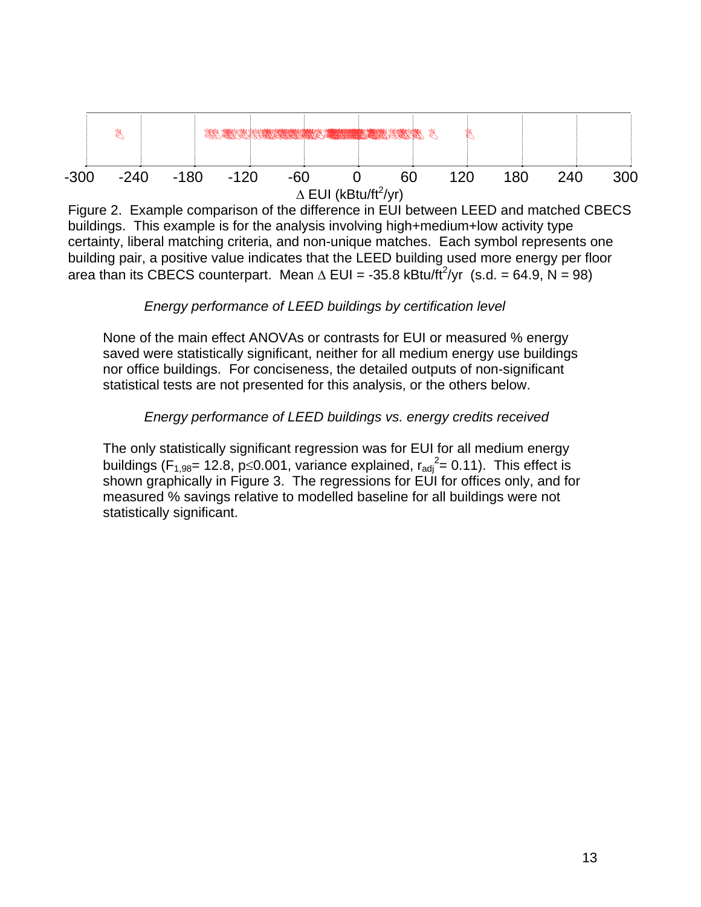

Figure 2. Example comparison of the difference in EUI between LEED and matched CBECS buildings. This example is for the analysis involving high+medium+low activity type certainty, liberal matching criteria, and non-unique matches. Each symbol represents one building pair, a positive value indicates that the LEED building used more energy per floor area than its CBECS counterpart. Mean  $\triangle$  EUI = -35.8 kBtu/ft<sup>2</sup>/yr (s.d. = 64.9, N = 98)

#### *Energy performance of LEED buildings by certification level*

None of the main effect ANOVAs or contrasts for EUI or measured % energy saved were statistically significant, neither for all medium energy use buildings nor office buildings. For conciseness, the detailed outputs of non-significant statistical tests are not presented for this analysis, or the others below.

#### *Energy performance of LEED buildings vs. energy credits received*

The only statistically significant regression was for EUI for all medium energy buildings (F<sub>1,98</sub>= 12.8, p≤0.001, variance explained, r<sub>adj</sub><sup>2</sup>= 0.11). This effect is shown graphically in Figure 3. The regressions for EUI for offices only, and for measured % savings relative to modelled baseline for all buildings were not statistically significant.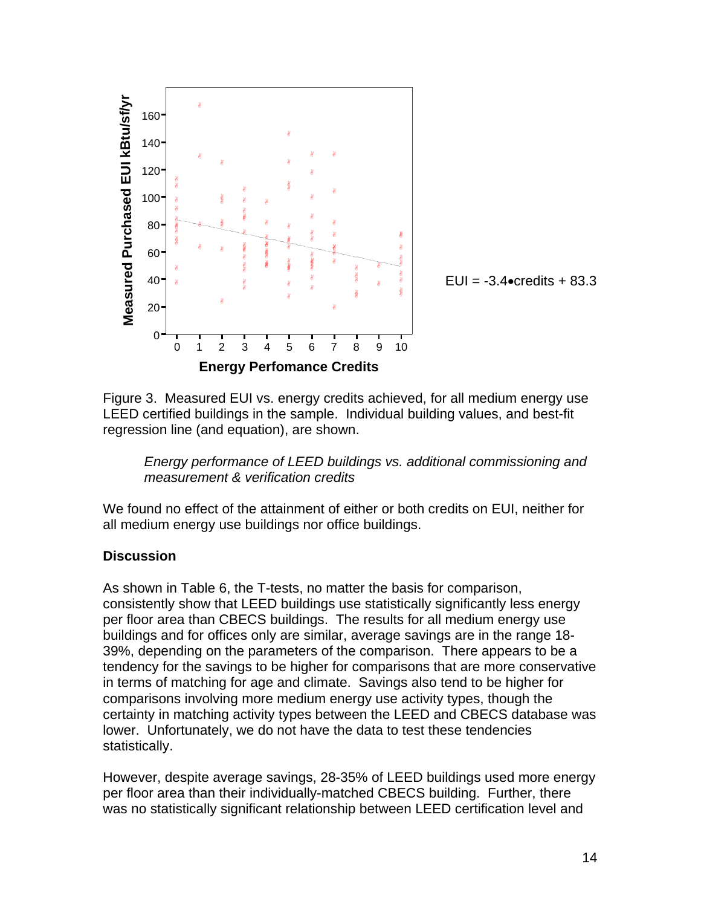

Figure 3. Measured EUI vs. energy credits achieved, for all medium energy use LEED certified buildings in the sample. Individual building values, and best-fit regression line (and equation), are shown.

*Energy performance of LEED buildings vs. additional commissioning and measurement & verification credits* 

We found no effect of the attainment of either or both credits on EUI, neither for all medium energy use buildings nor office buildings.

#### **Discussion**

As shown in Table 6, the T-tests, no matter the basis for comparison, consistently show that LEED buildings use statistically significantly less energy per floor area than CBECS buildings. The results for all medium energy use buildings and for offices only are similar, average savings are in the range 18- 39%, depending on the parameters of the comparison. There appears to be a tendency for the savings to be higher for comparisons that are more conservative in terms of matching for age and climate. Savings also tend to be higher for comparisons involving more medium energy use activity types, though the certainty in matching activity types between the LEED and CBECS database was lower. Unfortunately, we do not have the data to test these tendencies statistically.

However, despite average savings, 28-35% of LEED buildings used more energy per floor area than their individually-matched CBECS building. Further, there was no statistically significant relationship between LEED certification level and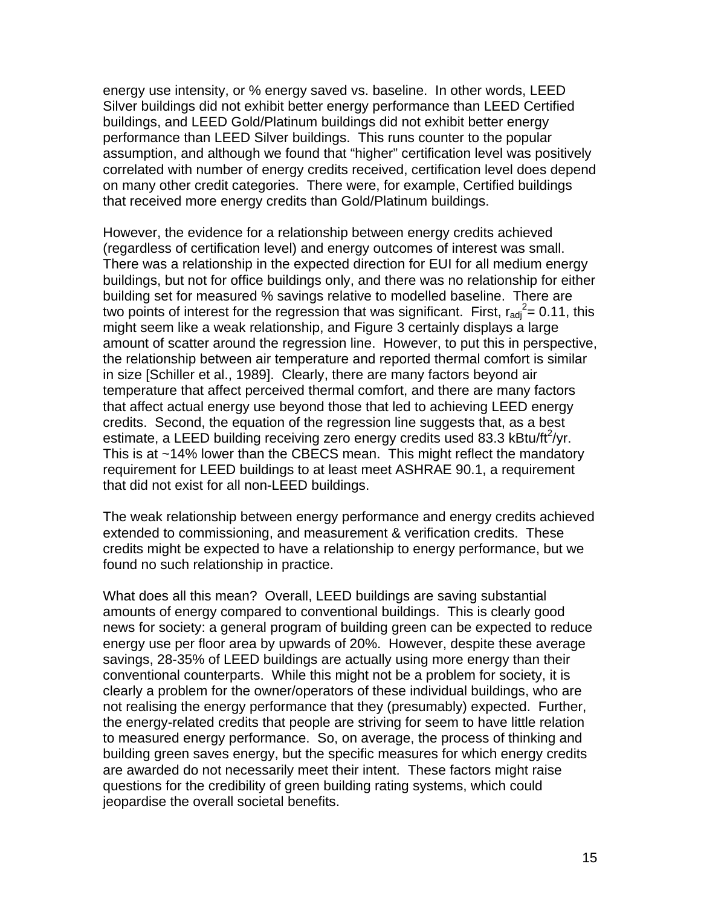energy use intensity, or % energy saved vs. baseline. In other words, LEED Silver buildings did not exhibit better energy performance than LEED Certified buildings, and LEED Gold/Platinum buildings did not exhibit better energy performance than LEED Silver buildings. This runs counter to the popular assumption, and although we found that "higher" certification level was positively correlated with number of energy credits received, certification level does depend on many other credit categories. There were, for example, Certified buildings that received more energy credits than Gold/Platinum buildings.

However, the evidence for a relationship between energy credits achieved (regardless of certification level) and energy outcomes of interest was small. There was a relationship in the expected direction for EUI for all medium energy buildings, but not for office buildings only, and there was no relationship for either building set for measured % savings relative to modelled baseline. There are two points of interest for the regression that was significant. First,  $r_{\text{adj}}^2 = 0.11$ , this might seem like a weak relationship, and Figure 3 certainly displays a large amount of scatter around the regression line. However, to put this in perspective, the relationship between air temperature and reported thermal comfort is similar in size [Schiller et al., 1989]. Clearly, there are many factors beyond air temperature that affect perceived thermal comfort, and there are many factors that affect actual energy use beyond those that led to achieving LEED energy credits. Second, the equation of the regression line suggests that, as a best estimate, a LEED building receiving zero energy credits used 83.3 kBtu/ft<sup>2</sup>/yr. This is at ~14% lower than the CBECS mean. This might reflect the mandatory requirement for LEED buildings to at least meet ASHRAE 90.1, a requirement that did not exist for all non-LEED buildings.

The weak relationship between energy performance and energy credits achieved extended to commissioning, and measurement & verification credits. These credits might be expected to have a relationship to energy performance, but we found no such relationship in practice.

What does all this mean? Overall, LEED buildings are saving substantial amounts of energy compared to conventional buildings. This is clearly good news for society: a general program of building green can be expected to reduce energy use per floor area by upwards of 20%. However, despite these average savings, 28-35% of LEED buildings are actually using more energy than their conventional counterparts. While this might not be a problem for society, it is clearly a problem for the owner/operators of these individual buildings, who are not realising the energy performance that they (presumably) expected. Further, the energy-related credits that people are striving for seem to have little relation to measured energy performance. So, on average, the process of thinking and building green saves energy, but the specific measures for which energy credits are awarded do not necessarily meet their intent. These factors might raise questions for the credibility of green building rating systems, which could jeopardise the overall societal benefits.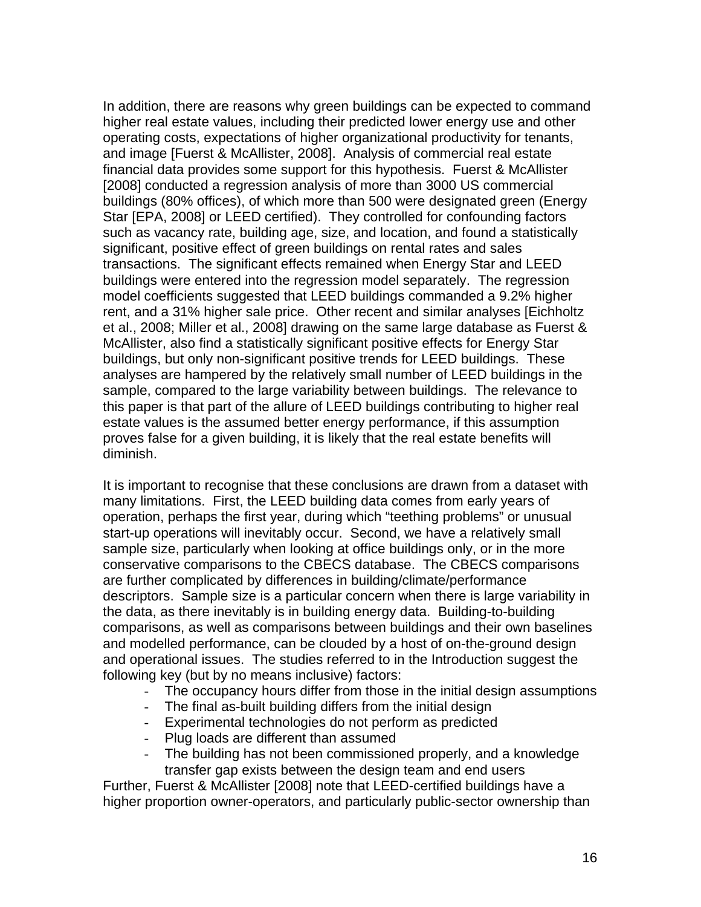In addition, there are reasons why green buildings can be expected to command higher real estate values, including their predicted lower energy use and other operating costs, expectations of higher organizational productivity for tenants, and image [Fuerst & McAllister, 2008]. Analysis of commercial real estate financial data provides some support for this hypothesis. Fuerst & McAllister [2008] conducted a regression analysis of more than 3000 US commercial buildings (80% offices), of which more than 500 were designated green (Energy Star [EPA, 2008] or LEED certified). They controlled for confounding factors such as vacancy rate, building age, size, and location, and found a statistically significant, positive effect of green buildings on rental rates and sales transactions. The significant effects remained when Energy Star and LEED buildings were entered into the regression model separately. The regression model coefficients suggested that LEED buildings commanded a 9.2% higher rent, and a 31% higher sale price. Other recent and similar analyses [Eichholtz et al., 2008; Miller et al., 2008] drawing on the same large database as Fuerst & McAllister, also find a statistically significant positive effects for Energy Star buildings, but only non-significant positive trends for LEED buildings. These analyses are hampered by the relatively small number of LEED buildings in the sample, compared to the large variability between buildings. The relevance to this paper is that part of the allure of LEED buildings contributing to higher real estate values is the assumed better energy performance, if this assumption proves false for a given building, it is likely that the real estate benefits will diminish.

It is important to recognise that these conclusions are drawn from a dataset with many limitations. First, the LEED building data comes from early years of operation, perhaps the first year, during which "teething problems" or unusual start-up operations will inevitably occur. Second, we have a relatively small sample size, particularly when looking at office buildings only, or in the more conservative comparisons to the CBECS database. The CBECS comparisons are further complicated by differences in building/climate/performance descriptors. Sample size is a particular concern when there is large variability in the data, as there inevitably is in building energy data. Building-to-building comparisons, as well as comparisons between buildings and their own baselines and modelled performance, can be clouded by a host of on-the-ground design and operational issues. The studies referred to in the Introduction suggest the following key (but by no means inclusive) factors:

- The occupancy hours differ from those in the initial design assumptions
- The final as-built building differs from the initial design
- Experimental technologies do not perform as predicted
- Plug loads are different than assumed
- The building has not been commissioned properly, and a knowledge transfer gap exists between the design team and end users

Further, Fuerst & McAllister [2008] note that LEED-certified buildings have a higher proportion owner-operators, and particularly public-sector ownership than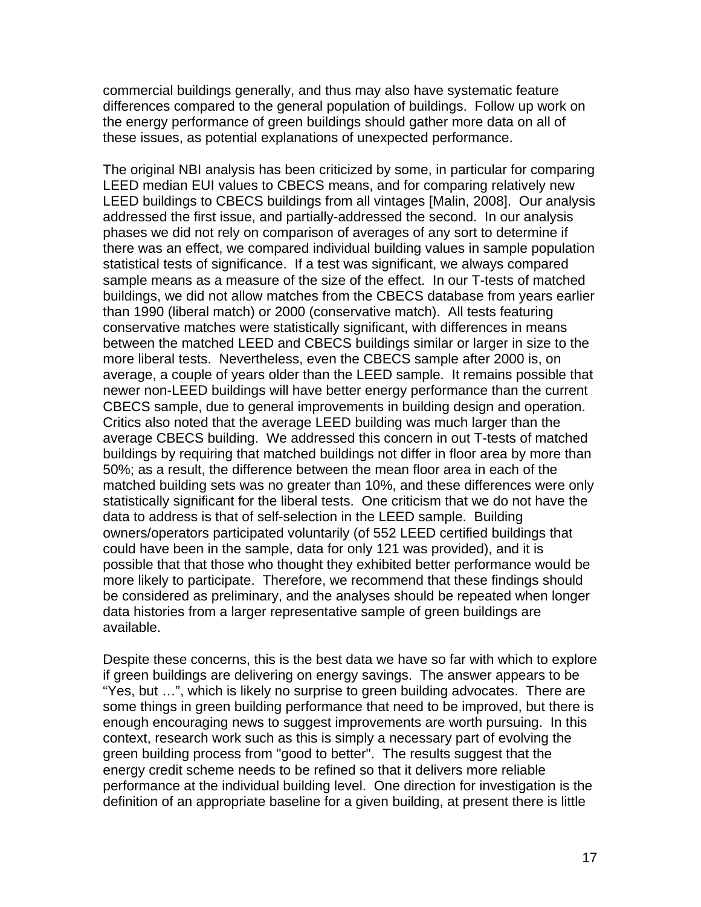commercial buildings generally, and thus may also have systematic feature differences compared to the general population of buildings. Follow up work on the energy performance of green buildings should gather more data on all of these issues, as potential explanations of unexpected performance.

The original NBI analysis has been criticized by some, in particular for comparing LEED median EUI values to CBECS means, and for comparing relatively new LEED buildings to CBECS buildings from all vintages [Malin, 2008]. Our analysis addressed the first issue, and partially-addressed the second. In our analysis phases we did not rely on comparison of averages of any sort to determine if there was an effect, we compared individual building values in sample population statistical tests of significance. If a test was significant, we always compared sample means as a measure of the size of the effect. In our T-tests of matched buildings, we did not allow matches from the CBECS database from years earlier than 1990 (liberal match) or 2000 (conservative match). All tests featuring conservative matches were statistically significant, with differences in means between the matched LEED and CBECS buildings similar or larger in size to the more liberal tests. Nevertheless, even the CBECS sample after 2000 is, on average, a couple of years older than the LEED sample. It remains possible that newer non-LEED buildings will have better energy performance than the current CBECS sample, due to general improvements in building design and operation. Critics also noted that the average LEED building was much larger than the average CBECS building. We addressed this concern in out T-tests of matched buildings by requiring that matched buildings not differ in floor area by more than 50%; as a result, the difference between the mean floor area in each of the matched building sets was no greater than 10%, and these differences were only statistically significant for the liberal tests. One criticism that we do not have the data to address is that of self-selection in the LEED sample. Building owners/operators participated voluntarily (of 552 LEED certified buildings that could have been in the sample, data for only 121 was provided), and it is possible that that those who thought they exhibited better performance would be more likely to participate. Therefore, we recommend that these findings should be considered as preliminary, and the analyses should be repeated when longer data histories from a larger representative sample of green buildings are available.

Despite these concerns, this is the best data we have so far with which to explore if green buildings are delivering on energy savings. The answer appears to be "Yes, but …", which is likely no surprise to green building advocates. There are some things in green building performance that need to be improved, but there is enough encouraging news to suggest improvements are worth pursuing. In this context, research work such as this is simply a necessary part of evolving the green building process from "good to better". The results suggest that the energy credit scheme needs to be refined so that it delivers more reliable performance at the individual building level. One direction for investigation is the definition of an appropriate baseline for a given building, at present there is little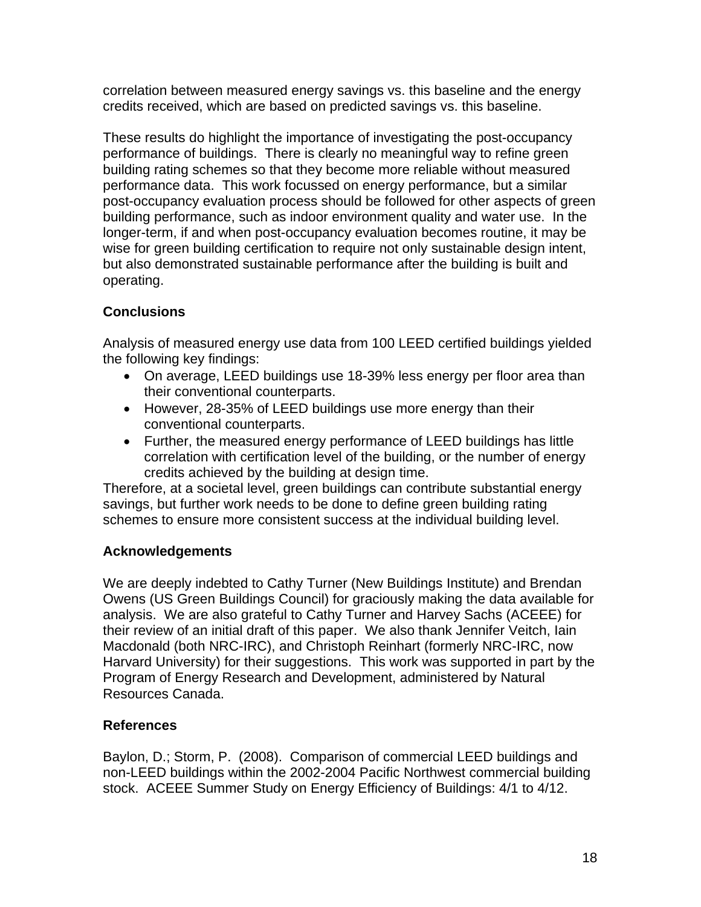correlation between measured energy savings vs. this baseline and the energy credits received, which are based on predicted savings vs. this baseline.

These results do highlight the importance of investigating the post-occupancy performance of buildings. There is clearly no meaningful way to refine green building rating schemes so that they become more reliable without measured performance data. This work focussed on energy performance, but a similar post-occupancy evaluation process should be followed for other aspects of green building performance, such as indoor environment quality and water use. In the longer-term, if and when post-occupancy evaluation becomes routine, it may be wise for green building certification to require not only sustainable design intent, but also demonstrated sustainable performance after the building is built and operating.

## **Conclusions**

Analysis of measured energy use data from 100 LEED certified buildings yielded the following key findings:

- On average, LEED buildings use 18-39% less energy per floor area than their conventional counterparts.
- However, 28-35% of LEED buildings use more energy than their conventional counterparts.
- Further, the measured energy performance of LEED buildings has little correlation with certification level of the building, or the number of energy credits achieved by the building at design time.

Therefore, at a societal level, green buildings can contribute substantial energy savings, but further work needs to be done to define green building rating schemes to ensure more consistent success at the individual building level.

## **Acknowledgements**

We are deeply indebted to Cathy Turner (New Buildings Institute) and Brendan Owens (US Green Buildings Council) for graciously making the data available for analysis. We are also grateful to Cathy Turner and Harvey Sachs (ACEEE) for their review of an initial draft of this paper. We also thank Jennifer Veitch, Iain Macdonald (both NRC-IRC), and Christoph Reinhart (formerly NRC-IRC, now Harvard University) for their suggestions. This work was supported in part by the Program of Energy Research and Development, administered by Natural Resources Canada.

## **References**

Baylon, D.; Storm, P. (2008). Comparison of commercial LEED buildings and non-LEED buildings within the 2002-2004 Pacific Northwest commercial building stock. ACEEE Summer Study on Energy Efficiency of Buildings: 4/1 to 4/12.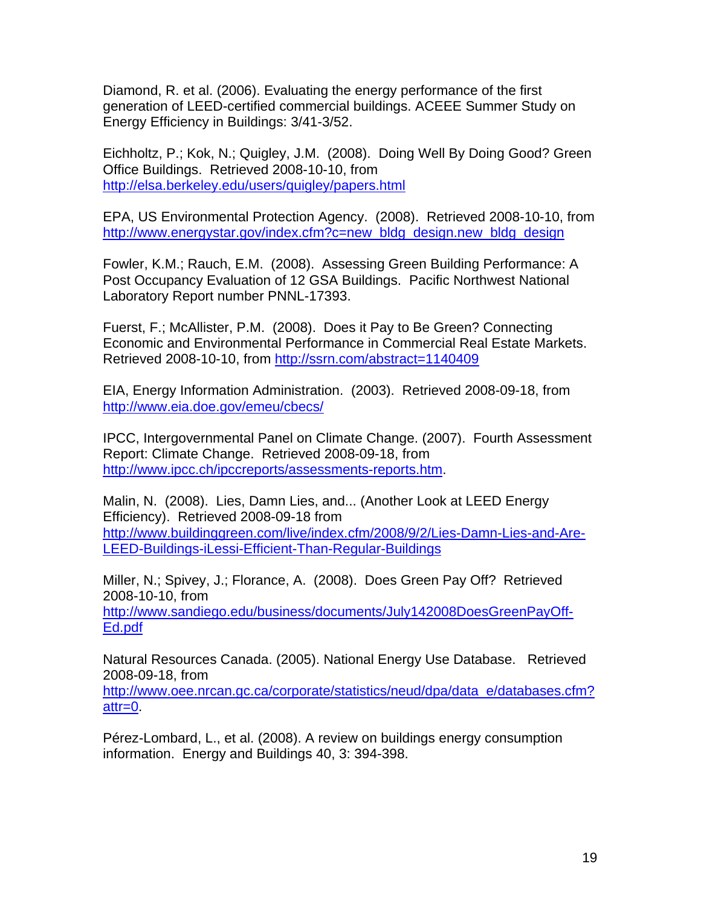Diamond, R. et al. (2006). Evaluating the energy performance of the first generation of LEED-certified commercial buildings. ACEEE Summer Study on Energy Efficiency in Buildings: 3/41-3/52.

Eichholtz, P.; Kok, N.; Quigley, J.M. (2008). Doing Well By Doing Good? Green Office Buildings. Retrieved 2008-10-10, from [http://elsa.berkeley.edu/users/quigley/papers.html](http://www.eia.doe.gov/emeu/cbecs/)

EPA, US Environmental Protection Agency. (2008). Retrieved 2008-10-10, from [http://www.energystar.gov/index.cfm?c=new\\_bldg\\_design.new\\_bldg\\_design](http://www.energystar.gov/index.cfm?c=new_bldg_design.new_bldg_design)

Fowler, K.M.; Rauch, E.M. (2008). Assessing Green Building Performance: A Post Occupancy Evaluation of 12 GSA Buildings. Pacific Northwest National Laboratory Report number PNNL-17393.

Fuerst, F.; McAllister, P.M. (2008). Does it Pay to Be Green? Connecting Economic and Environmental Performance in Commercial Real Estate Markets. Retrieved 2008-10-10, from<http://ssrn.com/abstract=1140409>

EIA, Energy Information Administration. (2003). Retrieved 2008-09-18, from <http://www.eia.doe.gov/emeu/cbecs/>

IPCC, Intergovernmental Panel on Climate Change. (2007). Fourth Assessment Report: Climate Change. Retrieved 2008-09-18, from [http://www.ipcc.ch/ipccreports/assessments-reports.htm.](http://www.ipcc.ch/ipccreports/assessments-reports.htm)

Malin, N. (2008). Lies, Damn Lies, and... (Another Look at LEED Energy Efficiency). Retrieved 2008-09-18 from [http://www.buildinggreen.com/live/index.cfm/2008/9/2/Lies-Damn-Lies-and-Are-](http://www.buildinggreen.com/live/index.cfm/2008/9/2/Lies-Damn-Lies-and-Are-LEED-Buildings-iLessi-Efficient-Than-Regular-Buildings)[LEED-Buildings-iLessi-Efficient-Than-Regular-Buildings](http://www.buildinggreen.com/live/index.cfm/2008/9/2/Lies-Damn-Lies-and-Are-LEED-Buildings-iLessi-Efficient-Than-Regular-Buildings) 

Miller, N.; Spivey, J.; Florance, A. (2008). Does Green Pay Off? Retrieved 2008-10-10, from [http://www.sandiego.edu/business/documents/July142008DoesGreenPayOff-](http://www.eia.doe.gov/emeu/cbecs/)[Ed.pdf](http://www.eia.doe.gov/emeu/cbecs/) 

Natural Resources Canada. (2005). National Energy Use Database. Retrieved 2008-09-18, from

[http://www.oee.nrcan.gc.ca/corporate/statistics/neud/dpa/data\\_e/databases.cfm?](http://www.oee.nrcan.gc.ca/corporate/statistics/neud/dpa/data_e/databases.cfm?attr=0) [attr=0](http://www.oee.nrcan.gc.ca/corporate/statistics/neud/dpa/data_e/databases.cfm?attr=0).

Pérez-Lombard, L., et al. (2008). A review on buildings energy consumption information. Energy and Buildings 40, 3: 394-398.